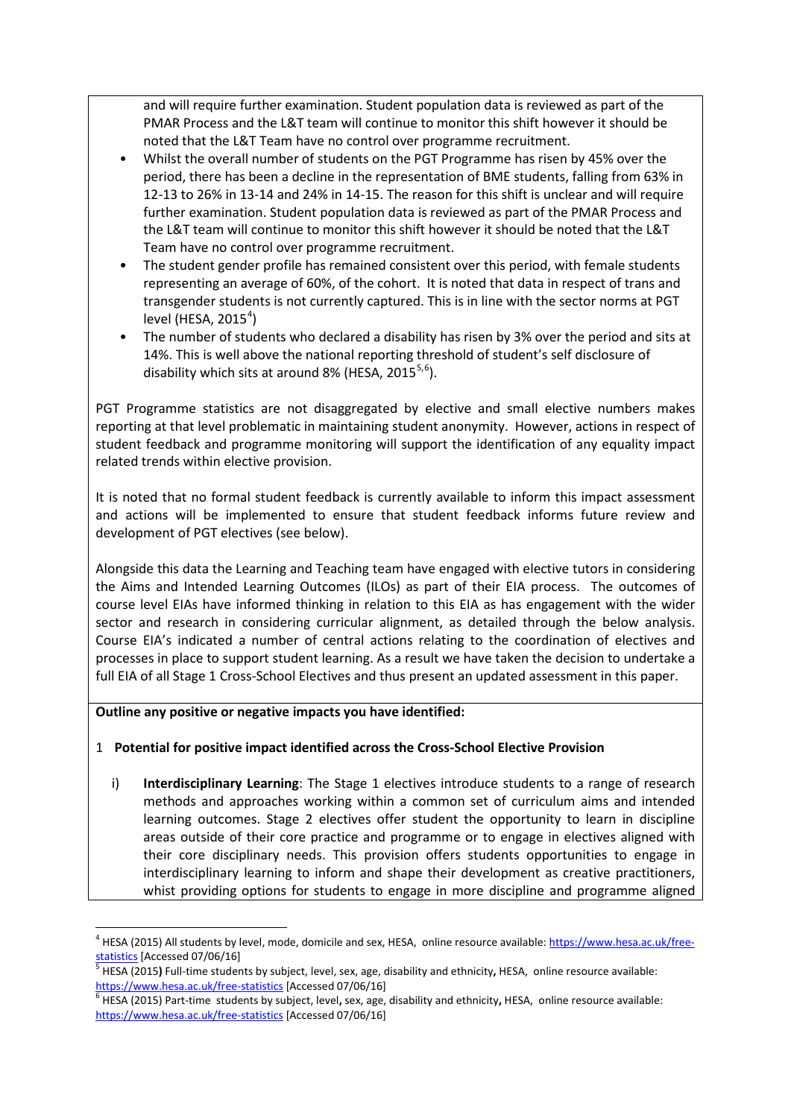and will require further examination. Student population data is reviewed as part of the PMAR Process and the L&T team will continue to monitor this shift however it should be noted that the L&T Team have no control over programme recruitment.

- Whilst the overall number of students on the PGT Programme has risen by 45% over the period, there has been a decline in the representation of BME students, falling from 63% in 12-13 to 26% in 13-14 and 24% in 14-15. The reason for this shift is unclear and will require further examination. Student population data is reviewed as part of the PMAR Process and the L&T team will continue to monitor this shift however it should be noted that the L&T Team have no control over programme recruitment.
- The student gender profile has remained consistent over this period, with female students representing an average of 60%, of the cohort. It is noted that data in respect of trans and transgender students is not currently captured. This is in line with the sector norms at PGT level (HESA, 2015 $^4$  $^4$ )
- The number of students who declared a disability has risen by 3% over the period and sits at 14%. This is well above the national reporting threshold of student's self disclosure of disability which sits at around 8% (HESA, 201[5](#page-1-1) $5,6$  $5,6$ ).

PGT Programme statistics are not disaggregated by elective and small elective numbers makes reporting at that level problematic in maintaining student anonymity. However, actions in respect of student feedback and programme monitoring will support the identification of any equality impact related trends within elective provision.

It is noted that no formal student feedback is currently available to inform this impact assessment and actions will be implemented to ensure that student feedback informs future review and development of PGT electives (see below).

Alongside this data the Learning and Teaching team have engaged with elective tutors in considering the Aims and Intended Learning Outcomes (ILOs) as part of their EIA process. The outcomes of course level EIAs have informed thinking in relation to this EIA as has engagement with the wider sector and research in considering curricular alignment, as detailed through the below analysis. Course EIA's indicated a number of central actions relating to the coordination of electives and processes in place to support student learning. As a result we have taken the decision to undertake a full EIA of all Stage 1 Cross-School Electives and thus present an updated assessment in this paper.

## **Outline any positive or negative impacts you have identified:**

## 1 **Potential for positive impact identified across the Cross-School Elective Provision**

i) **Interdisciplinary Learning**: The Stage 1 electives introduce students to a range of research methods and approaches working within a common set of curriculum aims and intended learning outcomes. Stage 2 electives offer student the opportunity to learn in discipline areas outside of their core practice and programme or to engage in electives aligned with their core disciplinary needs. This provision offers students opportunities to engage in interdisciplinary learning to inform and shape their development as creative practitioners, whist providing options for students to engage in more discipline and programme aligned

<span id="page-1-0"></span><sup>&</sup>lt;sup>4</sup> HESA (2015) All students by level, mode, domicile and sex, HESA, online resource available[: https://www.hesa.ac.uk/free-](https://www.hesa.ac.uk/free-statistics)

<span id="page-1-1"></span>[statistics](https://www.hesa.ac.uk/free-statistics) [Accessed 07/06/16]<br><sup>5</sup> HESA (2015) Full-time students by subject, level, sex, age, disability and ethnicity, HESA, online resource available: <https://www.hesa.ac.uk/free-statistics></u> [Accessed 07/06/16]<br><sup>6</sup> HESA (2015) Part-time students by subject, level, sex, age, disability and ethnicity, HESA, online resource available:

<span id="page-1-2"></span><https://www.hesa.ac.uk/free-statistics> [Accessed 07/06/16]